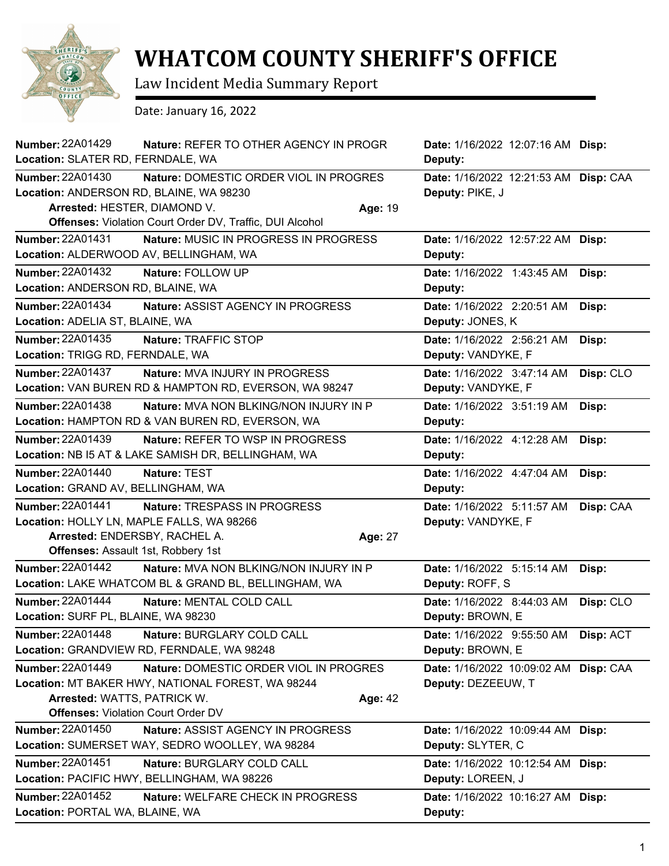

## **WHATCOM COUNTY SHERIFF'S OFFICE**

Law Incident Media Summary Report

Date: January 16, 2022

| <b>Number: 22A01429</b><br><b>Nature: REFER TO OTHER AGENCY IN PROGR</b><br>Location: SLATER RD, FERNDALE, WA                                                                                                              | Date: 1/16/2022 12:07:16 AM Disp:<br>Deputy:                |           |
|----------------------------------------------------------------------------------------------------------------------------------------------------------------------------------------------------------------------------|-------------------------------------------------------------|-----------|
| <b>Number: 22A01430</b><br>Nature: DOMESTIC ORDER VIOL IN PROGRES<br>Location: ANDERSON RD, BLAINE, WA 98230<br>Arrested: HESTER, DIAMOND V.<br>Age: 19<br><b>Offenses:</b> Violation Court Order DV, Traffic, DUI Alcohol | Date: 1/16/2022 12:21:53 AM Disp: CAA<br>Deputy: PIKE, J    |           |
| Number: 22A01431<br>Nature: MUSIC IN PROGRESS IN PROGRESS<br>Location: ALDERWOOD AV, BELLINGHAM, WA                                                                                                                        | Date: 1/16/2022 12:57:22 AM Disp:<br>Deputy:                |           |
| <b>Number: 22A01432</b><br>Nature: FOLLOW UP<br>Location: ANDERSON RD, BLAINE, WA                                                                                                                                          | <b>Date:</b> 1/16/2022 1:43:45 AM<br>Deputy:                | Disp:     |
| <b>Number: 22A01434</b><br><b>Nature: ASSIST AGENCY IN PROGRESS</b><br>Location: ADELIA ST, BLAINE, WA                                                                                                                     | Date: 1/16/2022 2:20:51 AM<br>Deputy: JONES, K              | Disp:     |
| <b>Number: 22A01435</b><br>Nature: TRAFFIC STOP<br>Location: TRIGG RD, FERNDALE, WA                                                                                                                                        | Date: 1/16/2022 2:56:21 AM<br>Deputy: VANDYKE, F            | Disp:     |
| <b>Number: 22A01437</b><br>Nature: MVA INJURY IN PROGRESS<br>Location: VAN BUREN RD & HAMPTON RD, EVERSON, WA 98247                                                                                                        | Date: 1/16/2022 3:47:14 AM<br>Deputy: VANDYKE, F            | Disp: CLO |
| <b>Number: 22A01438</b><br>Nature: MVA NON BLKING/NON INJURY IN P<br>Location: HAMPTON RD & VAN BUREN RD, EVERSON, WA                                                                                                      | Date: 1/16/2022 3:51:19 AM<br>Deputy:                       | Disp:     |
| <b>Number: 22A01439</b><br>Nature: REFER TO WSP IN PROGRESS<br>Location: NB I5 AT & LAKE SAMISH DR, BELLINGHAM, WA                                                                                                         | Date: 1/16/2022 4:12:28 AM<br>Deputy:                       | Disp:     |
| <b>Number: 22A01440</b><br>Nature: TEST<br>Location: GRAND AV, BELLINGHAM, WA                                                                                                                                              | Date: 1/16/2022 4:47:04 AM<br>Deputy:                       | Disp:     |
| Number: 22A01441<br>Nature: TRESPASS IN PROGRESS<br>Location: HOLLY LN, MAPLE FALLS, WA 98266<br>Arrested: ENDERSBY, RACHEL A.<br>Age: 27<br><b>Offenses: Assault 1st, Robbery 1st</b>                                     | Date: 1/16/2022 5:11:57 AM<br>Deputy: VANDYKE, F            | Disp: CAA |
| Number: 22A01442<br>Nature: MVA NON BLKING/NON INJURY IN P<br>Location: LAKE WHATCOM BL & GRAND BL, BELLINGHAM, WA                                                                                                         | Date: 1/16/2022 5:15:14 AM<br>Deputy: ROFF, S               | Disp:     |
| Number: 22A01444<br>Nature: MENTAL COLD CALL<br>Location: SURF PL, BLAINE, WA 98230                                                                                                                                        | Date: 1/16/2022 8:44:03 AM<br>Deputy: BROWN, E              | Disp: CLO |
| Number: 22A01448<br>Nature: BURGLARY COLD CALL<br>Location: GRANDVIEW RD, FERNDALE, WA 98248                                                                                                                               | Date: 1/16/2022 9:55:50 AM<br>Deputy: BROWN, E              | Disp: ACT |
| <b>Number: 22A01449</b><br>Nature: DOMESTIC ORDER VIOL IN PROGRES<br>Location: MT BAKER HWY, NATIONAL FOREST, WA 98244<br>Arrested: WATTS, PATRICK W.<br>Age: 42<br><b>Offenses: Violation Court Order DV</b>              | Date: 1/16/2022 10:09:02 AM Disp: CAA<br>Deputy: DEZEEUW, T |           |
| <b>Number: 22A01450</b><br>Nature: ASSIST AGENCY IN PROGRESS<br>Location: SUMERSET WAY, SEDRO WOOLLEY, WA 98284                                                                                                            | Date: 1/16/2022 10:09:44 AM Disp:<br>Deputy: SLYTER, C      |           |
| Number: 22A01451<br>Nature: BURGLARY COLD CALL<br>Location: PACIFIC HWY, BELLINGHAM, WA 98226                                                                                                                              | Date: 1/16/2022 10:12:54 AM Disp:<br>Deputy: LOREEN, J      |           |
| <b>Number: 22A01452</b><br>Nature: WELFARE CHECK IN PROGRESS<br>Location: PORTAL WA, BLAINE, WA                                                                                                                            | Date: 1/16/2022 10:16:27 AM Disp:<br>Deputy:                |           |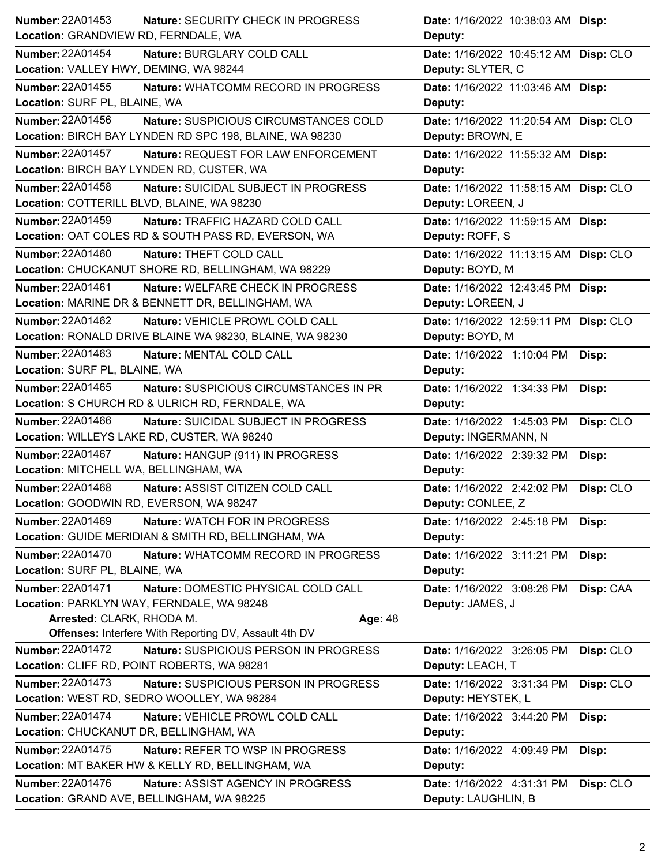| <b>Number: 22A01453</b><br><b>Nature: SECURITY CHECK IN PROGRESS</b>                                      | Date: 1/16/2022 10:38:03 AM Disp:                              |
|-----------------------------------------------------------------------------------------------------------|----------------------------------------------------------------|
| Location: GRANDVIEW RD, FERNDALE, WA                                                                      | Deputy:                                                        |
| Number: 22A01454<br>Nature: BURGLARY COLD CALL                                                            | Date: 1/16/2022 10:45:12 AM Disp: CLO                          |
| Location: VALLEY HWY, DEMING, WA 98244                                                                    | Deputy: SLYTER, C                                              |
| <b>Number: 22A01455</b><br>Nature: WHATCOMM RECORD IN PROGRESS                                            | Date: 1/16/2022 11:03:46 AM Disp:                              |
| Location: SURF PL, BLAINE, WA                                                                             | Deputy:                                                        |
| <b>Number: 22A01456</b><br>Nature: SUSPICIOUS CIRCUMSTANCES COLD                                          | Date: 1/16/2022 11:20:54 AM Disp: CLO                          |
| Location: BIRCH BAY LYNDEN RD SPC 198, BLAINE, WA 98230                                                   | Deputy: BROWN, E                                               |
| <b>Number: 22A01457</b><br>Nature: REQUEST FOR LAW ENFORCEMENT                                            | Date: 1/16/2022 11:55:32 AM Disp:                              |
| Location: BIRCH BAY LYNDEN RD, CUSTER, WA                                                                 | Deputy:                                                        |
| Number: 22A01458<br>Nature: SUICIDAL SUBJECT IN PROGRESS                                                  | Date: 1/16/2022 11:58:15 AM Disp: CLO                          |
| Location: COTTERILL BLVD, BLAINE, WA 98230                                                                | Deputy: LOREEN, J                                              |
| Number: 22A01459<br>Nature: TRAFFIC HAZARD COLD CALL                                                      | Date: 1/16/2022 11:59:15 AM Disp:                              |
| Location: OAT COLES RD & SOUTH PASS RD, EVERSON, WA                                                       | Deputy: ROFF, S                                                |
| Number: 22A01460<br>Nature: THEFT COLD CALL                                                               | Date: 1/16/2022 11:13:15 AM Disp: CLO                          |
| Location: CHUCKANUT SHORE RD, BELLINGHAM, WA 98229                                                        | Deputy: BOYD, M                                                |
| Number: 22A01461<br>Nature: WELFARE CHECK IN PROGRESS                                                     | Date: 1/16/2022 12:43:45 PM Disp:                              |
| Location: MARINE DR & BENNETT DR, BELLINGHAM, WA                                                          | Deputy: LOREEN, J                                              |
| Number: 22A01462<br>Nature: VEHICLE PROWL COLD CALL                                                       | Date: 1/16/2022 12:59:11 PM Disp: CLO                          |
| Location: RONALD DRIVE BLAINE WA 98230, BLAINE, WA 98230                                                  | Deputy: BOYD, M                                                |
| Number: 22A01463<br>Nature: MENTAL COLD CALL                                                              | Date: 1/16/2022 1:10:04 PM<br>Disp:                            |
| Location: SURF PL, BLAINE, WA                                                                             | Deputy:                                                        |
| Number: 22A01465<br>Nature: SUSPICIOUS CIRCUMSTANCES IN PR                                                | Date: 1/16/2022 1:34:33 PM<br>Disp:                            |
| Location: S CHURCH RD & ULRICH RD, FERNDALE, WA                                                           | Deputy:                                                        |
| Number: 22A01466<br>Nature: SUICIDAL SUBJECT IN PROGRESS                                                  | Disp: CLO<br>Date: 1/16/2022 1:45:03 PM                        |
| Location: WILLEYS LAKE RD, CUSTER, WA 98240                                                               | Deputy: INGERMANN, N                                           |
| Number: 22A01467<br>Nature: HANGUP (911) IN PROGRESS                                                      | Date: 1/16/2022 2:39:32 PM<br>Disp:                            |
| Location: MITCHELL WA, BELLINGHAM, WA                                                                     | Deputy:                                                        |
| <b>Number: 22A01468</b><br>Nature: ASSIST CITIZEN COLD CALL                                               | Date: 1/16/2022 2:42:02 PM<br>Disp: CLO                        |
| Location: GOODWIN RD, EVERSON, WA 98247                                                                   | Deputy: CONLEE, Z                                              |
| Number: 22A01469<br><b>Nature: WATCH FOR IN PROGRESS</b>                                                  | Date: 1/16/2022 2:45:18 PM<br>Disp:                            |
| Location: GUIDE MERIDIAN & SMITH RD, BELLINGHAM, WA                                                       | Deputy:                                                        |
| Number: 22A01470<br>Nature: WHATCOMM RECORD IN PROGRESS                                                   | Date: 1/16/2022 3:11:21 PM<br>Disp:                            |
| Location: SURF PL, BLAINE, WA                                                                             | Deputy:                                                        |
| Number: 22A01471<br>Nature: DOMESTIC PHYSICAL COLD CALL                                                   | Date: 1/16/2022 3:08:26 PM<br>Disp: CAA                        |
| Location: PARKLYN WAY, FERNDALE, WA 98248                                                                 | Deputy: JAMES, J                                               |
| Arrested: CLARK, RHODA M.<br>Age: 48                                                                      |                                                                |
| <b>Offenses: Interfere With Reporting DV, Assault 4th DV</b>                                              |                                                                |
| <b>Number: 22A01472</b><br>Nature: SUSPICIOUS PERSON IN PROGRESS                                          |                                                                |
|                                                                                                           | Date: 1/16/2022 3:26:05 PM<br>Disp: CLO                        |
| Location: CLIFF RD, POINT ROBERTS, WA 98281                                                               | Deputy: LEACH, T                                               |
| <b>Number: 22A01473</b><br>Nature: SUSPICIOUS PERSON IN PROGRESS                                          | Disp: CLO<br>Date: 1/16/2022 3:31:34 PM                        |
| Location: WEST RD, SEDRO WOOLLEY, WA 98284                                                                | Deputy: HEYSTEK, L                                             |
| <b>Number: 22A01474</b><br>Nature: VEHICLE PROWL COLD CALL                                                | Date: 1/16/2022 3:44:20 PM<br>Disp:                            |
| Location: CHUCKANUT DR, BELLINGHAM, WA                                                                    | Deputy:                                                        |
| <b>Number: 22A01475</b><br>Nature: REFER TO WSP IN PROGRESS                                               | Date: 1/16/2022 4:09:49 PM<br>Disp:                            |
| Location: MT BAKER HW & KELLY RD, BELLINGHAM, WA                                                          | Deputy:                                                        |
| <b>Number: 22A01476</b><br>Nature: ASSIST AGENCY IN PROGRESS<br>Location: GRAND AVE, BELLINGHAM, WA 98225 | Date: 1/16/2022 4:31:31 PM<br>Disp: CLO<br>Deputy: LAUGHLIN, B |